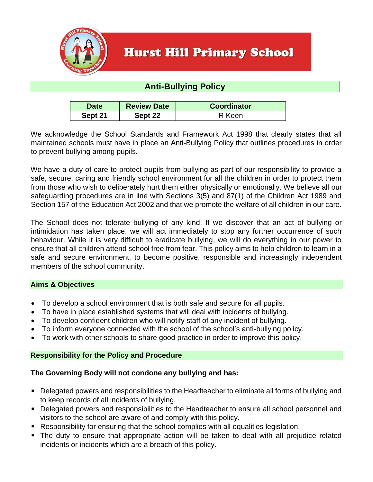

# **Hurst Hill Primary School**

# **Anti-Bullying Policy**

| <b>Date</b> | <b>Review Date</b> | <b>Coordinator</b> |
|-------------|--------------------|--------------------|
| Sept 21     | Sept 22            | R Keen             |

We acknowledge the School Standards and Framework Act 1998 that clearly states that all maintained schools must have in place an Anti-Bullying Policy that outlines procedures in order to prevent bullying among pupils.

We have a duty of care to protect pupils from bullying as part of our responsibility to provide a safe, secure, caring and friendly school environment for all the children in order to protect them from those who wish to deliberately hurt them either physically or emotionally. We believe all our safeguarding procedures are in line with Sections 3(5) and 87(1) of the Children Act 1989 and Section 157 of the Education Act 2002 and that we promote the welfare of all children in our care.

The School does not tolerate bullying of any kind. If we discover that an act of bullying or intimidation has taken place, we will act immediately to stop any further occurrence of such behaviour. While it is very difficult to eradicate bullying, we will do everything in our power to ensure that all children attend school free from fear. This policy aims to help children to learn in a safe and secure environment, to become positive, responsible and increasingly independent members of the school community.

### **Aims & Objectives**

- To develop a school environment that is both safe and secure for all pupils.
- To have in place established systems that will deal with incidents of bullying.
- To develop confident children who will notify staff of any incident of bullying.
- To inform everyone connected with the school of the school's anti-bullying policy.
- To work with other schools to share good practice in order to improve this policy.

#### **Responsibility for the Policy and Procedure**

### **The Governing Body will not condone any bullying and has:**

- Delegated powers and responsibilities to the Headteacher to eliminate all forms of bullying and to keep records of all incidents of bullying.
- Delegated powers and responsibilities to the Headteacher to ensure all school personnel and visitors to the school are aware of and comply with this policy.
- Responsibility for ensuring that the school complies with all equalities legislation.
- The duty to ensure that appropriate action will be taken to deal with all prejudice related incidents or incidents which are a breach of this policy.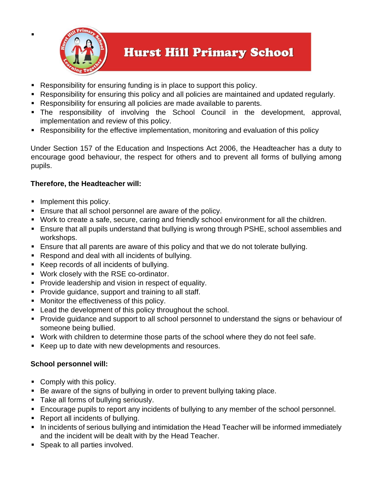

▪

# **Hurst Hill Primary School**

- Responsibility for ensuring funding is in place to support this policy.
- Responsibility for ensuring this policy and all policies are maintained and updated regularly.
- Responsibility for ensuring all policies are made available to parents.
- The responsibility of involving the School Council in the development, approval, implementation and review of this policy.
- Responsibility for the effective implementation, monitoring and evaluation of this policy

Under Section 157 of the Education and Inspections Act 2006, the Headteacher has a duty to encourage good behaviour, the respect for others and to prevent all forms of bullying among pupils.

#### **Therefore, the Headteacher will:**

- **•** Implement this policy.
- Ensure that all school personnel are aware of the policy.
- Work to create a safe, secure, caring and friendly school environment for all the children.
- Ensure that all pupils understand that bullying is wrong through PSHE, school assemblies and workshops.
- Ensure that all parents are aware of this policy and that we do not tolerate bullying.
- Respond and deal with all incidents of bullying.
- Keep records of all incidents of bullying.
- Work closely with the RSE co-ordinator.
- Provide leadership and vision in respect of equality.
- Provide guidance, support and training to all staff.
- Monitor the effectiveness of this policy.
- Lead the development of this policy throughout the school.
- Provide guidance and support to all school personnel to understand the signs or behaviour of someone being bullied.
- Work with children to determine those parts of the school where they do not feel safe.
- Keep up to date with new developments and resources.

### **School personnel will:**

- Comply with this policy.
- Be aware of the signs of bullying in order to prevent bullying taking place.
- Take all forms of bullying seriously.
- Encourage pupils to report any incidents of bullying to any member of the school personnel.
- Report all incidents of bullying.
- In incidents of serious bullying and intimidation the Head Teacher will be informed immediately and the incident will be dealt with by the Head Teacher.
- Speak to all parties involved.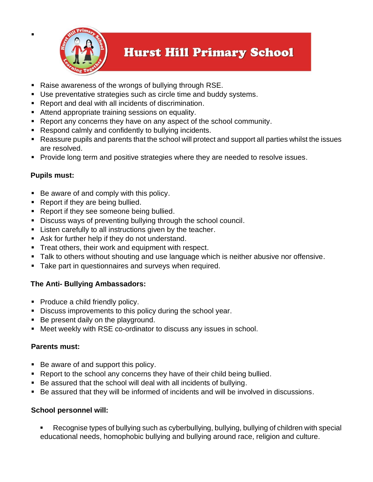

# **Hurst Hill Primary School**

- Raise awareness of the wrongs of bullying through RSE.
- Use preventative strategies such as circle time and buddy systems.
- Report and deal with all incidents of discrimination.
- Attend appropriate training sessions on equality.
- Report any concerns they have on any aspect of the school community.
- Respond calmly and confidently to bullying incidents.
- Reassure pupils and parents that the school will protect and support all parties whilst the issues are resolved.
- Provide long term and positive strategies where they are needed to resolve issues.

### **Pupils must:**

▪

- Be aware of and comply with this policy.
- Report if they are being bullied.
- Report if they see someone being bullied.
- Discuss ways of preventing bullying through the school council.
- **EXECT:** Listen carefully to all instructions given by the teacher.
- Ask for further help if they do not understand.
- **Treat others, their work and equipment with respect.**
- **Talk to others without shouting and use language which is neither abusive nor offensive.**
- Take part in questionnaires and surveys when required.

### **The Anti- Bullying Ambassadors:**

- Produce a child friendly policy.
- **EXECT** Discuss improvements to this policy during the school year.
- Be present daily on the playground.
- Meet weekly with RSE co-ordinator to discuss any issues in school.

### **Parents must:**

- Be aware of and support this policy.
- Report to the school any concerns they have of their child being bullied.
- Be assured that the school will deal with all incidents of bullying.
- Be assured that they will be informed of incidents and will be involved in discussions.

### **School personnel will:**

Recognise types of bullying such as cyberbullying, bullying, bullying of children with special educational needs, homophobic bullying and bullying around race, religion and culture.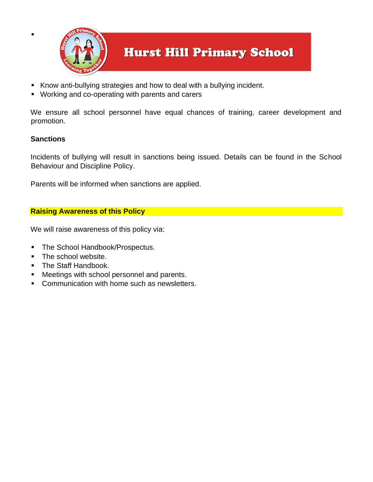

- Know anti-bullying strategies and how to deal with a bullying incident.
- Working and co-operating with parents and carers

We ensure all school personnel have equal chances of training, career development and promotion.

### **Sanctions**

▪

Incidents of bullying will result in sanctions being issued. Details can be found in the School Behaviour and Discipline Policy.

Parents will be informed when sanctions are applied.

## **Raising Awareness of this Policy**

We will raise awareness of this policy via:

- The School Handbook/Prospectus.
- The school website.
- The Staff Handbook.
- Meetings with school personnel and parents.
- Communication with home such as newsletters.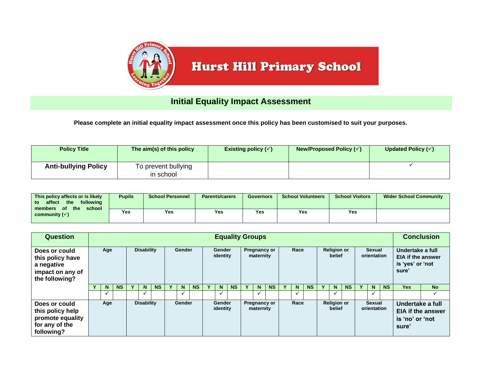

# **Initial Equality Impact Assessment**

**Please complete an initial equality impact assessment once this policy has been customised to suit your purposes.**

| <b>Policy Title</b>         | The aim(s) of this policy        | Existing policy $(\checkmark)$ | New/Proposed Policy $(\checkmark)$ | Updated Policy $(\checkmark)$ |
|-----------------------------|----------------------------------|--------------------------------|------------------------------------|-------------------------------|
| <b>Anti-bullying Policy</b> | To prevent bullying<br>in school |                                |                                    |                               |

| This policy affects or is likely<br>following<br>the<br>affect<br>to<br>the<br>of<br>school<br>members | <b>Pupils</b> | <b>School Personnel</b> | <b>Parents/carers</b> | <b>Governors</b> | <b>School Volunteers</b> | <b>School Visitors</b> | <b>Wider School Community</b> |
|--------------------------------------------------------------------------------------------------------|---------------|-------------------------|-----------------------|------------------|--------------------------|------------------------|-------------------------------|
| community $(\checkmark)$                                                                               | Yes           | Yes                     | Yes                   | Yes              | Yes                      | Yes                    |                               |

| <b>Question</b>                                                                       | <b>Equality Groups</b> |                          |                   |  |                              |           |  |              |                    |  |                                          |           |  |      |           | <b>Conclusion</b> |                              |           |                              |                       |                                                                                      |                                                                    |           |            |           |
|---------------------------------------------------------------------------------------|------------------------|--------------------------|-------------------|--|------------------------------|-----------|--|--------------|--------------------|--|------------------------------------------|-----------|--|------|-----------|-------------------|------------------------------|-----------|------------------------------|-----------------------|--------------------------------------------------------------------------------------|--------------------------------------------------------------------|-----------|------------|-----------|
| Does or could<br>this policy have<br>a negative<br>impact on any of<br>the following? |                        | Age                      | <b>Disability</b> |  |                              | Gender    |  |              | Gender<br>identity |  | Pregnancy or<br>maternity                |           |  | Race |           |                   | <b>Religion or</b><br>belief |           |                              | Sexual<br>orientation |                                                                                      | Undertake a full<br>EIA if the answer<br>is 'yes' or 'not<br>sure' |           |            |           |
|                                                                                       |                        | N.                       | <b>NS</b>         |  | N                            | <b>NS</b> |  | N            | <b>NS</b>          |  | N.                                       | <b>NS</b> |  | N    | <b>NS</b> |                   | $\mathbf N$                  | <b>NS</b> |                              | N <sub>1</sub>        | <b>NS</b>                                                                            | N                                                                  | <b>NS</b> | <b>Yes</b> | <b>No</b> |
|                                                                                       |                        | v                        |                   |  | ✓                            |           |  | $\checkmark$ |                    |  | $\overline{\phantom{a}}$                 |           |  | v    |           |                   | $\checkmark$                 |           |                              | $\checkmark$          |                                                                                      | $\checkmark$                                                       |           |            |           |
| Does or could<br>this policy help<br>promote equality<br>for any of the<br>following? |                        | <b>Disability</b><br>Age |                   |  | Gender<br>Gender<br>identity |           |  |              |                    |  | Race<br><b>Pregnancy or</b><br>maternity |           |  |      |           |                   | <b>Religion or</b><br>belief |           | <b>Sexual</b><br>orientation |                       | Undertake a full<br><b>EIA if the answer</b><br>is 'no' or 'not<br>sure <sup>'</sup> |                                                                    |           |            |           |